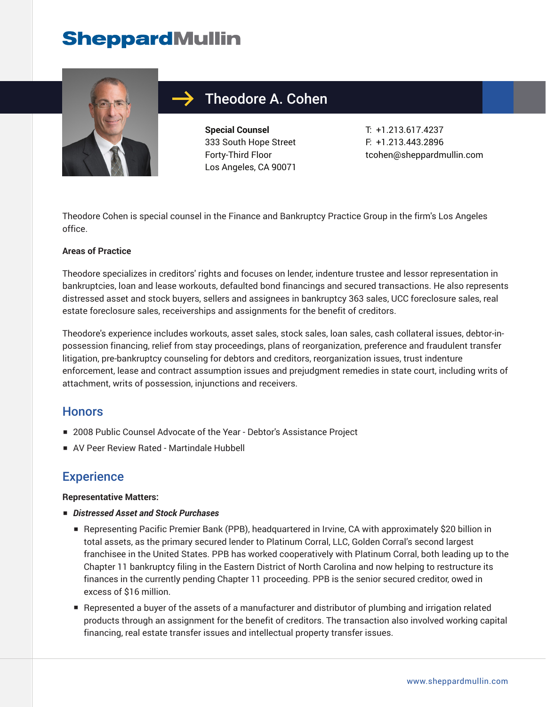

## Theodore A. Cohen

**Special Counsel** 333 South Hope Street Forty-Third Floor Los Angeles, CA 90071

T: +1.213.617.4237 F: +1.213.443.2896 tcohen@sheppardmullin.com

Theodore Cohen is special counsel in the Finance and Bankruptcy Practice Group in the firm's Los Angeles office.

#### **Areas of Practice**

Theodore specializes in creditors' rights and focuses on lender, indenture trustee and lessor representation in bankruptcies, loan and lease workouts, defaulted bond financings and secured transactions. He also represents distressed asset and stock buyers, sellers and assignees in bankruptcy 363 sales, UCC foreclosure sales, real estate foreclosure sales, receiverships and assignments for the benefit of creditors.

Theodore's experience includes workouts, asset sales, stock sales, loan sales, cash collateral issues, debtor-inpossession financing, relief from stay proceedings, plans of reorganization, preference and fraudulent transfer litigation, pre-bankruptcy counseling for debtors and creditors, reorganization issues, trust indenture enforcement, lease and contract assumption issues and prejudgment remedies in state court, including writs of attachment, writs of possession, injunctions and receivers.

#### **Honors**

- 2008 Public Counsel Advocate of the Year Debtor's Assistance Project
- AV Peer Review Rated Martindale Hubbell

#### **Experience**

#### **Representative Matters:**

- *Distressed Asset and Stock Purchases*
	- Representing Pacific Premier Bank (PPB), headquartered in Irvine, CA with approximately \$20 billion in total assets, as the primary secured lender to Platinum Corral, LLC, Golden Corral's second largest franchisee in the United States. PPB has worked cooperatively with Platinum Corral, both leading up to the Chapter 11 bankruptcy filing in the Eastern District of North Carolina and now helping to restructure its finances in the currently pending Chapter 11 proceeding. PPB is the senior secured creditor, owed in excess of \$16 million.
	- Represented a buyer of the assets of a manufacturer and distributor of plumbing and irrigation related products through an assignment for the benefit of creditors. The transaction also involved working capital financing, real estate transfer issues and intellectual property transfer issues.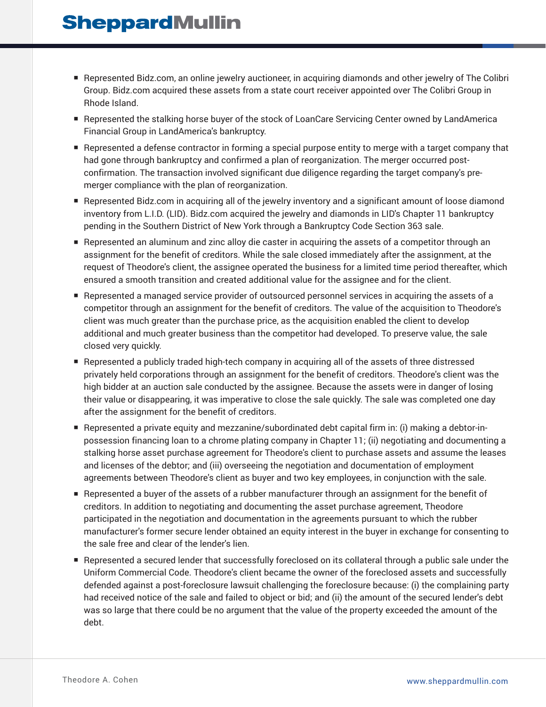- Represented Bidz.com, an online jewelry auctioneer, in acquiring diamonds and other jewelry of The Colibri Group. Bidz.com acquired these assets from a state court receiver appointed over The Colibri Group in Rhode Island.
- Represented the stalking horse buyer of the stock of LoanCare Servicing Center owned by LandAmerica Financial Group in LandAmerica's bankruptcy.
- Represented a defense contractor in forming a special purpose entity to merge with a target company that had gone through bankruptcy and confirmed a plan of reorganization. The merger occurred postconfirmation. The transaction involved significant due diligence regarding the target company's premerger compliance with the plan of reorganization.
- Represented Bidz.com in acquiring all of the jewelry inventory and a significant amount of loose diamond inventory from L.I.D. (LID). Bidz.com acquired the jewelry and diamonds in LID's Chapter 11 bankruptcy pending in the Southern District of New York through a Bankruptcy Code Section 363 sale.
- Represented an aluminum and zinc alloy die caster in acquiring the assets of a competitor through an assignment for the benefit of creditors. While the sale closed immediately after the assignment, at the request of Theodore's client, the assignee operated the business for a limited time period thereafter, which ensured a smooth transition and created additional value for the assignee and for the client.
- Represented a managed service provider of outsourced personnel services in acquiring the assets of a competitor through an assignment for the benefit of creditors. The value of the acquisition to Theodore's client was much greater than the purchase price, as the acquisition enabled the client to develop additional and much greater business than the competitor had developed. To preserve value, the sale closed very quickly.
- Represented a publicly traded high-tech company in acquiring all of the assets of three distressed privately held corporations through an assignment for the benefit of creditors. Theodore's client was the high bidder at an auction sale conducted by the assignee. Because the assets were in danger of losing their value or disappearing, it was imperative to close the sale quickly. The sale was completed one day after the assignment for the benefit of creditors.
- Represented a private equity and mezzanine/subordinated debt capital firm in: (i) making a debtor-inpossession financing loan to a chrome plating company in Chapter 11; (ii) negotiating and documenting a stalking horse asset purchase agreement for Theodore's client to purchase assets and assume the leases and licenses of the debtor; and (iii) overseeing the negotiation and documentation of employment agreements between Theodore's client as buyer and two key employees, in conjunction with the sale.
- Represented a buyer of the assets of a rubber manufacturer through an assignment for the benefit of creditors. In addition to negotiating and documenting the asset purchase agreement, Theodore participated in the negotiation and documentation in the agreements pursuant to which the rubber manufacturer's former secure lender obtained an equity interest in the buyer in exchange for consenting to the sale free and clear of the lender's lien.
- Represented a secured lender that successfully foreclosed on its collateral through a public sale under the Uniform Commercial Code. Theodore's client became the owner of the foreclosed assets and successfully defended against a post-foreclosure lawsuit challenging the foreclosure because: (i) the complaining party had received notice of the sale and failed to object or bid; and (ii) the amount of the secured lender's debt was so large that there could be no argument that the value of the property exceeded the amount of the debt.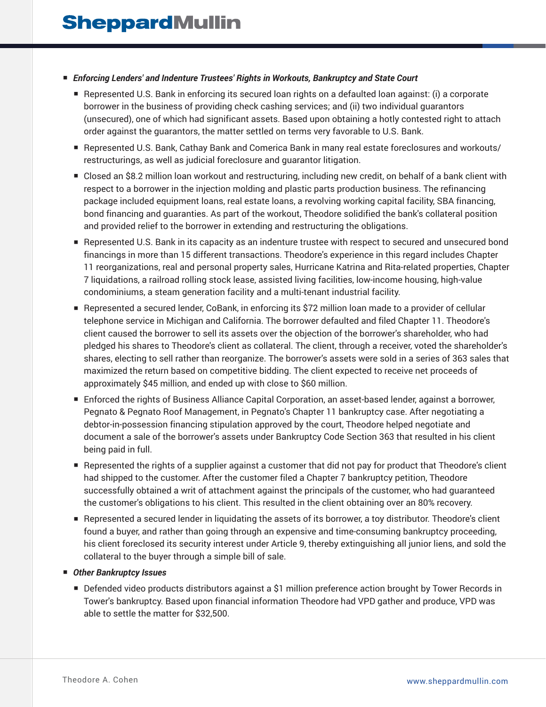#### ■ *Enforcing Lenders' and Indenture Trustees' Rights in Workouts, Bankruptcy and State Court*

- Represented U.S. Bank in enforcing its secured loan rights on a defaulted loan against: (i) a corporate borrower in the business of providing check cashing services; and (ii) two individual guarantors (unsecured), one of which had significant assets. Based upon obtaining a hotly contested right to attach order against the guarantors, the matter settled on terms very favorable to U.S. Bank.
- Represented U.S. Bank, Cathay Bank and Comerica Bank in many real estate foreclosures and workouts/ restructurings, as well as judicial foreclosure and guarantor litigation.
- Closed an \$8.2 million loan workout and restructuring, including new credit, on behalf of a bank client with respect to a borrower in the injection molding and plastic parts production business. The refinancing package included equipment loans, real estate loans, a revolving working capital facility, SBA financing, bond financing and guaranties. As part of the workout, Theodore solidified the bank's collateral position and provided relief to the borrower in extending and restructuring the obligations.
- Represented U.S. Bank in its capacity as an indenture trustee with respect to secured and unsecured bond financings in more than 15 different transactions. Theodore's experience in this regard includes Chapter 11 reorganizations, real and personal property sales, Hurricane Katrina and Rita-related properties, Chapter 7 liquidations, a railroad rolling stock lease, assisted living facilities, low-income housing, high-value condominiums, a steam generation facility and a multi-tenant industrial facility.
- Represented a secured lender, CoBank, in enforcing its \$72 million loan made to a provider of cellular telephone service in Michigan and California. The borrower defaulted and filed Chapter 11. Theodore's client caused the borrower to sell its assets over the objection of the borrower's shareholder, who had pledged his shares to Theodore's client as collateral. The client, through a receiver, voted the shareholder's shares, electing to sell rather than reorganize. The borrower's assets were sold in a series of 363 sales that maximized the return based on competitive bidding. The client expected to receive net proceeds of approximately \$45 million, and ended up with close to \$60 million.
- Enforced the rights of Business Alliance Capital Corporation, an asset-based lender, against a borrower, Pegnato & Pegnato Roof Management, in Pegnato's Chapter 11 bankruptcy case. After negotiating a debtor-in-possession financing stipulation approved by the court, Theodore helped negotiate and document a sale of the borrower's assets under Bankruptcy Code Section 363 that resulted in his client being paid in full.
- Represented the rights of a supplier against a customer that did not pay for product that Theodore's client had shipped to the customer. After the customer filed a Chapter 7 bankruptcy petition, Theodore successfully obtained a writ of attachment against the principals of the customer, who had guaranteed the customer's obligations to his client. This resulted in the client obtaining over an 80% recovery.
- Represented a secured lender in liquidating the assets of its borrower, a toy distributor. Theodore's client found a buyer, and rather than going through an expensive and time-consuming bankruptcy proceeding, his client foreclosed its security interest under Article 9, thereby extinguishing all junior liens, and sold the collateral to the buyer through a simple bill of sale.
- *Other Bankruptcy Issues*
	- Defended video products distributors against a \$1 million preference action brought by Tower Records in Tower's bankruptcy. Based upon financial information Theodore had VPD gather and produce, VPD was able to settle the matter for \$32,500.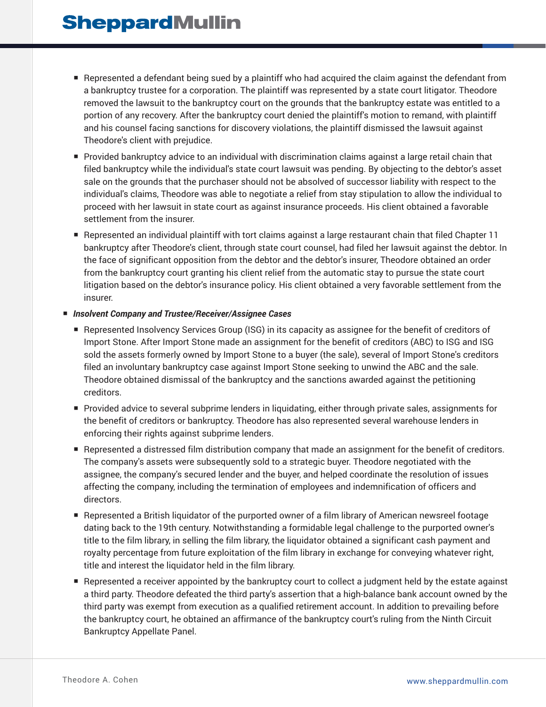- Represented a defendant being sued by a plaintiff who had acquired the claim against the defendant from a bankruptcy trustee for a corporation. The plaintiff was represented by a state court litigator. Theodore removed the lawsuit to the bankruptcy court on the grounds that the bankruptcy estate was entitled to a portion of any recovery. After the bankruptcy court denied the plaintiff's motion to remand, with plaintiff and his counsel facing sanctions for discovery violations, the plaintiff dismissed the lawsuit against Theodore's client with prejudice.
- Provided bankruptcy advice to an individual with discrimination claims against a large retail chain that filed bankruptcy while the individual's state court lawsuit was pending. By objecting to the debtor's asset sale on the grounds that the purchaser should not be absolved of successor liability with respect to the individual's claims, Theodore was able to negotiate a relief from stay stipulation to allow the individual to proceed with her lawsuit in state court as against insurance proceeds. His client obtained a favorable settlement from the insurer.
- Represented an individual plaintiff with tort claims against a large restaurant chain that filed Chapter 11 bankruptcy after Theodore's client, through state court counsel, had filed her lawsuit against the debtor. In the face of significant opposition from the debtor and the debtor's insurer, Theodore obtained an order from the bankruptcy court granting his client relief from the automatic stay to pursue the state court litigation based on the debtor's insurance policy. His client obtained a very favorable settlement from the insurer.

#### ■ *Insolvent Company and Trustee/Receiver/Assignee Cases*

- Represented Insolvency Services Group (ISG) in its capacity as assignee for the benefit of creditors of Import Stone. After Import Stone made an assignment for the benefit of creditors (ABC) to ISG and ISG sold the assets formerly owned by Import Stone to a buyer (the sale), several of Import Stone's creditors filed an involuntary bankruptcy case against Import Stone seeking to unwind the ABC and the sale. Theodore obtained dismissal of the bankruptcy and the sanctions awarded against the petitioning creditors.
- Provided advice to several subprime lenders in liquidating, either through private sales, assignments for the benefit of creditors or bankruptcy. Theodore has also represented several warehouse lenders in enforcing their rights against subprime lenders.
- Represented a distressed film distribution company that made an assignment for the benefit of creditors. The company's assets were subsequently sold to a strategic buyer. Theodore negotiated with the assignee, the company's secured lender and the buyer, and helped coordinate the resolution of issues affecting the company, including the termination of employees and indemnification of officers and directors.
- Represented a British liquidator of the purported owner of a film library of American newsreel footage dating back to the 19th century. Notwithstanding a formidable legal challenge to the purported owner's title to the film library, in selling the film library, the liquidator obtained a significant cash payment and royalty percentage from future exploitation of the film library in exchange for conveying whatever right, title and interest the liquidator held in the film library.
- Represented a receiver appointed by the bankruptcy court to collect a judgment held by the estate against a third party. Theodore defeated the third party's assertion that a high-balance bank account owned by the third party was exempt from execution as a qualified retirement account. In addition to prevailing before the bankruptcy court, he obtained an affirmance of the bankruptcy court's ruling from the Ninth Circuit Bankruptcy Appellate Panel.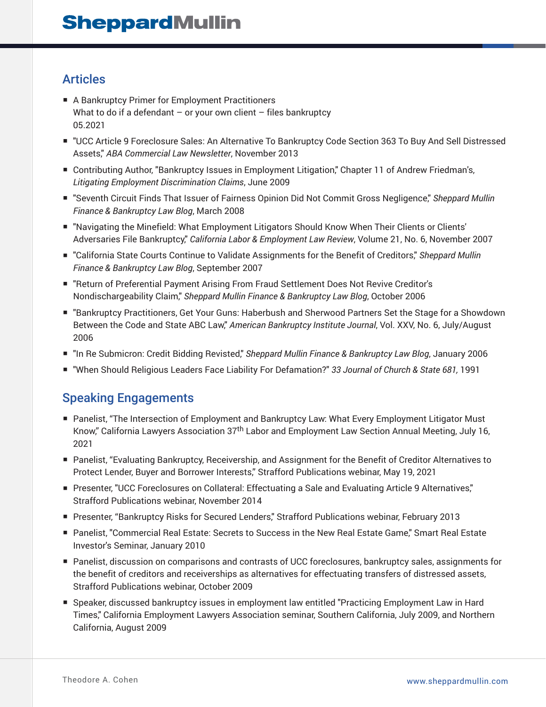#### Articles

- A Bankruptcy Primer for Employment Practitioners What to do if a defendant  $-$  or your own client  $-$  files bankruptcy 05.2021
- "UCC Article 9 Foreclosure Sales: An Alternative To Bankruptcy Code Section 363 To Buy And Sell Distressed Assets," *ABA Commercial Law Newsletter*, November 2013
- Contributing Author, "Bankruptcy Issues in Employment Litigation," Chapter 11 of Andrew Friedman's, *Litigating Employment Discrimination Claims*, June 2009
- "Seventh Circuit Finds That Issuer of Fairness Opinion Did Not Commit Gross Negligence," *Sheppard Mullin Finance & Bankruptcy Law Blog*, March 2008
- "Navigating the Minefield: What Employment Litigators Should Know When Their Clients or Clients' Adversaries File Bankruptcy," *California Labor & Employment Law Review*, Volume 21, No. 6, November 2007
- "California State Courts Continue to Validate Assignments for the Benefit of Creditors," *Sheppard Mullin Finance & Bankruptcy Law Blog*, September 2007
- "Return of Preferential Payment Arising From Fraud Settlement Does Not Revive Creditor's Nondischargeability Claim," *Sheppard Mullin Finance & Bankruptcy Law Blog*, October 2006
- "Bankruptcy Practitioners, Get Your Guns: Haberbush and Sherwood Partners Set the Stage for a Showdown Between the Code and State ABC Law," *American Bankruptcy Institute Journal*, Vol. XXV, No. 6, July/August 2006
- "In Re Submicron: Credit Bidding Revisted," *Sheppard Mullin Finance & Bankruptcy Law Blog*, January 2006
- "When Should Religious Leaders Face Liability For Defamation?" *33 Journal of Church & State 681,* 1991

### Speaking Engagements

- Panelist, "The Intersection of Employment and Bankruptcy Law: What Every Employment Litigator Must Know," California Lawyers Association 37th Labor and Employment Law Section Annual Meeting, July 16, 2021
- Panelist, "Evaluating Bankruptcy, Receivership, and Assignment for the Benefit of Creditor Alternatives to Protect Lender, Buyer and Borrower Interests," Strafford Publications webinar, May 19, 2021
- Presenter, "UCC Foreclosures on Collateral: Effectuating a Sale and Evaluating Article 9 Alternatives," Strafford Publications webinar, November 2014
- Presenter, "Bankruptcy Risks for Secured Lenders," Strafford Publications webinar, February 2013
- Panelist, "Commercial Real Estate: Secrets to Success in the New Real Estate Game," Smart Real Estate Investor's Seminar, January 2010
- Panelist, discussion on comparisons and contrasts of UCC foreclosures, bankruptcy sales, assignments for the benefit of creditors and receiverships as alternatives for effectuating transfers of distressed assets, Strafford Publications webinar, October 2009
- Speaker, discussed bankruptcy issues in employment law entitled "Practicing Employment Law in Hard Times," California Employment Lawyers Association seminar, Southern California, July 2009, and Northern California, August 2009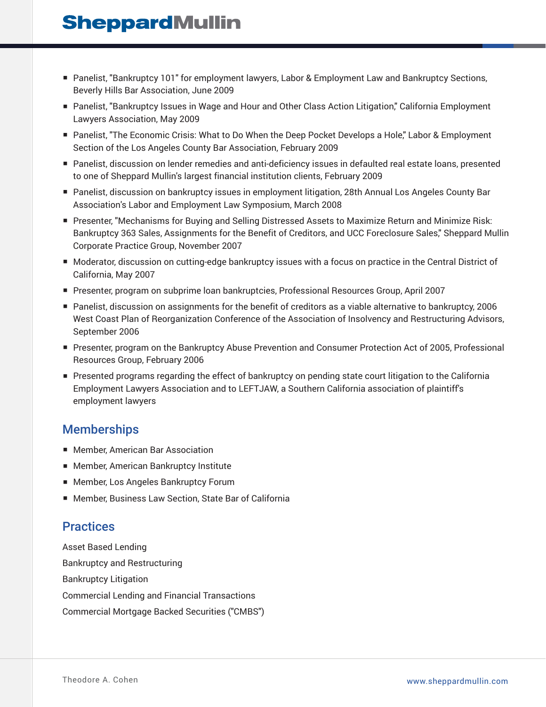- Panelist, "Bankruptcy 101" for employment lawyers, Labor & Employment Law and Bankruptcy Sections, Beverly Hills Bar Association, June 2009
- Panelist, "Bankruptcy Issues in Wage and Hour and Other Class Action Litigation," California Employment Lawyers Association, May 2009
- Panelist, "The Economic Crisis: What to Do When the Deep Pocket Develops a Hole," Labor & Employment Section of the Los Angeles County Bar Association, February 2009
- Panelist, discussion on lender remedies and anti-deficiency issues in defaulted real estate loans, presented to one of Sheppard Mullin's largest financial institution clients, February 2009
- Panelist, discussion on bankruptcy issues in employment litigation, 28th Annual Los Angeles County Bar Association's Labor and Employment Law Symposium, March 2008
- Presenter, "Mechanisms for Buying and Selling Distressed Assets to Maximize Return and Minimize Risk: Bankruptcy 363 Sales, Assignments for the Benefit of Creditors, and UCC Foreclosure Sales," Sheppard Mullin Corporate Practice Group, November 2007
- Moderator, discussion on cutting-edge bankruptcy issues with a focus on practice in the Central District of California, May 2007
- Presenter, program on subprime loan bankruptcies, Professional Resources Group, April 2007
- Panelist, discussion on assignments for the benefit of creditors as a viable alternative to bankruptcy, 2006 West Coast Plan of Reorganization Conference of the Association of Insolvency and Restructuring Advisors, September 2006
- Presenter, program on the Bankruptcy Abuse Prevention and Consumer Protection Act of 2005, Professional Resources Group, February 2006
- Presented programs regarding the effect of bankruptcy on pending state court litigation to the California Employment Lawyers Association and to LEFTJAW, a Southern California association of plaintiff's employment lawyers

#### **Memberships**

- Member, American Bar Association
- Member, American Bankruptcy Institute
- Member, Los Angeles Bankruptcy Forum
- Member, Business Law Section, State Bar of California

#### **Practices**

Asset Based Lending Bankruptcy and Restructuring Bankruptcy Litigation Commercial Lending and Financial Transactions Commercial Mortgage Backed Securities ("CMBS")